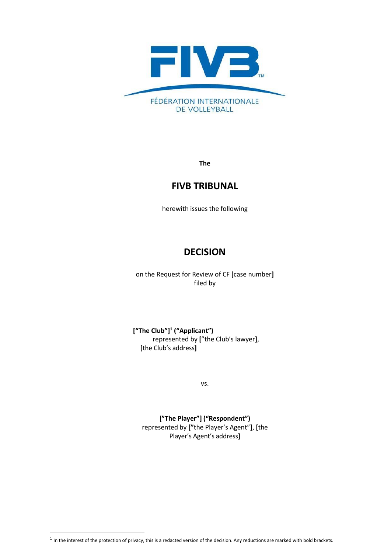

**The**

# **FIVB TRIBUNAL**

herewith issues the following

# **DECISION**

on the Request for Review of CF **[**case number**]** filed by

**["The Club"] 1 ("Applicant")** represented by **[**"the Club's lawyer**]**, **[**the Club's address**]**

vs.

[**"The Player"] ("Respondent")** represented by **["**the Player's Agent"**]**, **[**the Player's Agent's address**]**

 $<sup>1</sup>$  In the interest of the protection of privacy, this is a redacted version of the decision. Any reductions are marked with bold brackets.</sup>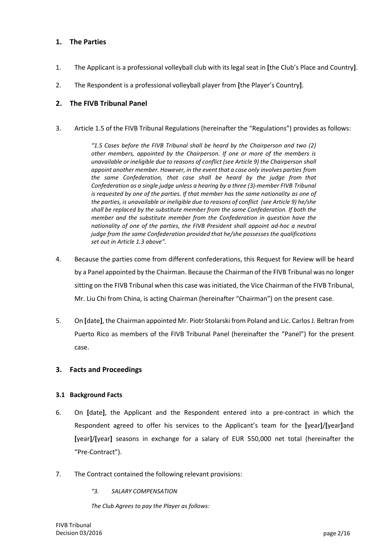# **1. The Parties**

- 1. The Applicant is a professional volleyball club with its legal seat in **[**the Club's Place and Country**]**.
- 2. The Respondent is a professional volleyball player from **[**the Player's Country**]**.

## **2. The FIVB Tribunal Panel**

3. Article 1.5 of the FIVB Tribunal Regulations (hereinafter the "Regulations") provides as follows:

*"1.5 Cases before the FIVB Tribunal shall be heard by the Chairperson and two (2) other members, appointed by the Chairperson. If one or more of the members is unavailable or ineligible due to reasons of conflict (see Article 9) the Chairperson shall appoint another member. However, in the event that a case only involves parties from the same Confederation, that case shall be heard by the judge from that Confederation as a single judge unless a hearing by a three (3)‐member FIVB Tribunal is requested by one of the parties. If that member has the same nationality as one of the parties, is unavailable or ineligible due to reasons of conflict (see Article 9) he/she shall be replaced by the substitute member from the same Confederation. If both the member and the substitute member from the Confederation in question have the nationality of one of the parties, the FIVB President shall appoint ad‐hoc a neutral judge from the same Confederation provided that he/she possesses the qualifications set out in Article 1.3 above".*

- 4. Because the parties come from different confederations, this Request for Review will be heard by a Panel appointed by the Chairman. Because the Chairman of the FIVB Tribunal was no longer sitting on the FIVB Tribunal when this case was initiated, the Vice Chairman of the FIVB Tribunal, Mr. Liu Chi from China, is acting Chairman (hereinafter "Chairman") on the present case.
- 5. On **[**date**]**, the Chairman appointed Mr. Piotr Stolarski from Poland and Lic. Carlos J. Beltran from Puerto Rico as members of the FIVB Tribunal Panel (hereinafter the "Panel") for the present case.

#### **3. Facts and Proceedings**

#### **3.1 Background Facts**

- 6. On **[**date**]**, the Applicant and the Respondent entered into a pre‐contract in which the Respondent agreed to offer his services to the Applicant's team for the **[**year**]**/**[**year**]**and **[**year**]**/**[**year**]** seasons in exchange for a salary of EUR 550,000 net total (hereinafter the "Pre‐Contract").
- 7. The Contract contained the following relevant provisions:
	- *"3. SALARY COMPENSATION*

*The Club Agrees to pay the Player as follows:*

FIVB Tribunal Decision 03/2016 **page 2/16** page 2/16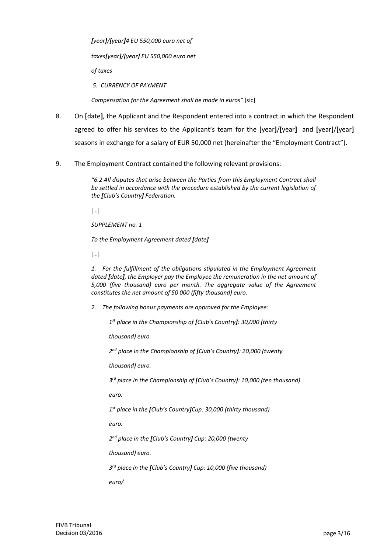*[year]/[year]4 EU 550,000 euro net of taxes[year]/[year] EU 550,000 euro net of taxes 5. CURRENCY OF PAYMENT*

*Compensation for the Agreement shall be made in euros"* [sic]

- 8. On **[**date**]**, the Applicant and the Respondent entered into a contract in which the Respondent agreed to offer his services to the Applicant's team for the **[**year**]**/**[**year**]** and **[**year**]**/**[**year**]** seasons in exchange for a salary of EUR 50,000 net (hereinafter the "Employment Contract").
- 9. The Employment Contract contained the following relevant provisions:

*"6.2 All disputes that arise between the Parties from this Employment Contract shall be settled in accordance with the procedure established by the current legislation of the [Club's Country] Federation.*

[…]

*SUPPLEMENT no. 1*

*To the Employment Agreement dated [date]*

[…]

*1. For the fulfillment of the obligations stipulated in the Employment Agreement dated [date], the Employer pay the Employee the remuneration in the net amount of 5,000 (five thousand) euro per month. The aggregate value of the Agreement constitutes the net amount of 50 000 (fifty thousand) euro.*

*2. The following bonus payments are approved for the Employee:*

*1 st place in the Championship of [Club's Country]: 30,000 (thirty* 

*thousand) euro.*

*2 nd place in the Championship of [Club's Country]: 20,000 (twenty* 

*thousand) euro.*

*3 rd place in the Championship of [Club's Country]: 10,000 (ten thousand)*

*euro.*

*1 st place in the [Club's Country]Cup: 30,000 (thirty thousand)* 

*euro.*

*2 nd place in the [Club's Country] Cup: 20,000 (twenty* 

*thousand) euro.*

*3 rd place in the [Club's Country] Cup: 10,000 (five thousand)*

*euro/*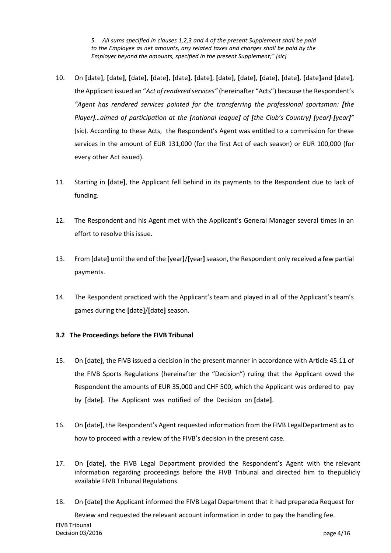*5. All sums specified in clauses 1,2,3 and 4 of the present Supplement shall be paid to the Employee as net amounts, any related taxes and charges shall be paid by the Employer beyond the amounts, specified in the present Supplement;" [sic]*

- 10. On [date], [date], [date], [date], [date], [date], [date], [date], [date], [date], [date]and [date], the Applicant issued an "*Act of rendered services"* (hereinafter "Acts") because the Respondent's *"Agent has rendered services pointed for the transferring the professional sportsman: [the Player]…aimed of participation at the [national league] of [the Club's Country] [year]‐[year]"* (sic). According to these Acts, the Respondent's Agent was entitled to a commission for these services in the amount of EUR 131,000 (for the first Act of each season) or EUR 100,000 (for every other Act issued).
- 11. Starting in **[**date**]**, the Applicant fell behind in its payments to the Respondent due to lack of funding.
- 12. The Respondent and his Agent met with the Applicant's General Manager several times in an effort to resolve this issue.
- 13. From **[**date**]** until the end of the **[**year**]**/**[**year**]**season, the Respondent only received a few partial payments.
- 14. The Respondent practiced with the Applicant's team and played in all of the Applicant's team's games during the **[**date**]**/**[**date**]** season.

# **3.2 The Proceedings before the FIVB Tribunal**

- 15. On **[**date**]**, the FIVB issued a decision in the present manner in accordance with Article 45.11 of the FIVB Sports Regulations (hereinafter the "Decision") ruling that the Applicant owed the Respondent the amounts of EUR 35,000 and CHF 500, which the Applicant was ordered to pay by **[**date**]**. The Applicant was notified of the Decision on **[**date**]**.
- 16. On **[**date**]**, the Respondent's Agent requested information from the FIVB LegalDepartment as to how to proceed with a review of the FIVB's decision in the present case.
- 17. On **[**date**]**, the FIVB Legal Department provided the Respondent's Agent with the relevant information regarding proceedings before the FIVB Tribunal and directed him to thepublicly available FIVB Tribunal Regulations.
- 18. On **[**date**]** the Applicant informed the FIVB Legal Department that it had prepareda Request for

FIVB Tribunal Decision 03/2016 **page 4/16** page 4/16 Review and requested the relevant account information in order to pay the handling fee.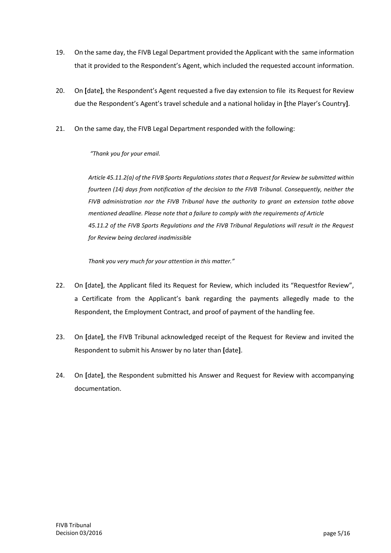- 19. On the same day, the FIVB Legal Department provided the Applicant with the same information that it provided to the Respondent's Agent, which included the requested account information.
- 20. On **[**date**]**, the Respondent's Agent requested a five day extension to file its Request for Review due the Respondent's Agent's travel schedule and a national holiday in **[**the Player's Country**]**.
- 21. On the same day, the FIVB Legal Department responded with the following:

## *"Thank you for your email.*

*Article 45.11.2(a) of the FIVB Sports Regulations states that a Request for Review be submitted within fourteen (14) days from notification of the decision to the FIVB Tribunal. Consequently, neither the FIVB administration nor the FIVB Tribunal have the authority to grant an extension tothe above mentioned deadline. Please note that a failure to comply with the requirements of Article 45.11.2 of the FIVB Sports Regulations and the FIVB Tribunal Regulations will result in the Request for Review being declared inadmissible*

*Thank you very much for your attention in this matter."*

- 22. On **[**date**]**, the Applicant filed its Request for Review, which included its "Requestfor Review", a Certificate from the Applicant's bank regarding the payments allegedly made to the Respondent, the Employment Contract, and proof of payment of the handling fee.
- 23. On **[**date**]**, the FIVB Tribunal acknowledged receipt of the Request for Review and invited the Respondent to submit his Answer by no later than **[**date**]**.
- 24. On **[**date**]**, the Respondent submitted his Answer and Request for Review with accompanying documentation.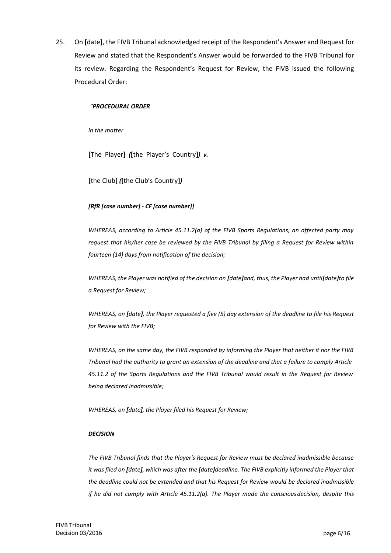25. On **[**date**]**, the FIVB Tribunal acknowledged receipt of the Respondent's Answer and Request for Review and stated that the Respondent's Answer would be forwarded to the FIVB Tribunal for its review. Regarding the Respondent's Request for Review, the FIVB issued the following Procedural Order:

#### *"PROCEDURAL ORDER*

*in the matter*

**[**The Player**]** *(***[**the Player's Country**]***) v.* 

**[**the Club**]** *(***[**the Club's Country**]***)*

#### *[RfR [case number] ‐ CF [case number]]*

*WHEREAS, according to Article 45.11.2(a) of the FIVB Sports Regulations, an affected party may request that his/her case be reviewed by the FIVB Tribunal by filing a Request for Review within fourteen (14) days from notification of the decision;*

*WHEREAS, the Player was notified of the decision on [date]and, thus, the Player had until [date]to file a Request for Review;*

*WHEREAS, on [date], the Player requested a five (5) day extension of the deadline to file his Request for Review with the FIVB;*

*WHEREAS, on the same day, the FIVB responded by informing the Player that neither it nor the FIVB Tribunal had the authority to grant an extension of the deadline and that a failure to comply Article 45.11.2 of the Sports Regulations and the FIVB Tribunal would result in the Request for Review being declared inadmissible;*

*WHEREAS, on [date], the Player filed his Request for Review;*

#### *DECISION*

*The FIVB Tribunal finds that the Player's Request for Review must be declared inadmissible because it was filed on [date], which was after the [date]deadline. The FIVB explicitly informed the Player that the deadline could not be extended and that his Request for Review would be declared inadmissible if he did not comply with Article 45.11.2(a). The Player made the consciousdecision, despite this*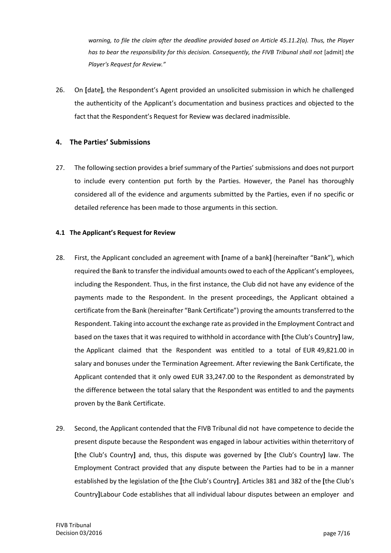*warning, to file the claim after the deadline provided based on Article 45.11.2(a). Thus, the Player has to bear the responsibility for this decision. Consequently, the FIVB Tribunal shall not* [admit] *the Player's Request for Review."*

26. On **[**date**]**, the Respondent's Agent provided an unsolicited submission in which he challenged the authenticity of the Applicant's documentation and business practices and objected to the fact that the Respondent's Request for Review was declared inadmissible.

# **4. The Parties' Submissions**

27. The following section provides a brief summary of the Parties'submissions and does not purport to include every contention put forth by the Parties. However, the Panel has thoroughly considered all of the evidence and arguments submitted by the Parties, even if no specific or detailed reference has been made to those arguments in this section.

#### **4.1 The Applicant's Request for Review**

- 28. First, the Applicant concluded an agreement with **[**name of a bank**]** (hereinafter "Bank"), which required the Bank to transferthe individual amounts owed to each of the Applicant's employees, including the Respondent. Thus, in the first instance, the Club did not have any evidence of the payments made to the Respondent. In the present proceedings, the Applicant obtained a certificate from the Bank (hereinafter "Bank Certificate") proving the amounts transferred to the Respondent. Taking into account the exchange rate as provided in the Employment Contract and based on the taxes that it was required to withhold in accordance with **[**the Club's Country**]** law, the Applicant claimed that the Respondent was entitled to a total of EUR 49,821.00 in salary and bonuses under the Termination Agreement. After reviewing the Bank Certificate, the Applicant contended that it only owed EUR 33,247.00 to the Respondent as demonstrated by the difference between the total salary that the Respondent was entitled to and the payments proven by the Bank Certificate.
- 29. Second, the Applicant contended that the FIVB Tribunal did not have competence to decide the present dispute because the Respondent was engaged in labour activities within theterritory of **[**the Club's Country**]** and, thus, this dispute was governed by **[**the Club's Country**]** law. The Employment Contract provided that any dispute between the Parties had to be in a manner established by the legislation of the **[**the Club's Country**]**. Articles 381 and 382 of the **[**the Club's Country**]**Labour Code establishes that all individual labour disputes between an employer and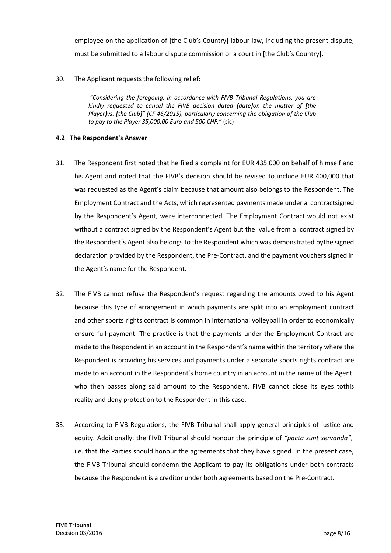employee on the application of **[**the Club's Country**]** labour law, including the present dispute, must be submitted to a labour dispute commission or a court in **[**the Club's Country**]**.

30. The Applicant requests the following relief:

*"Considering the foregoing, in accordance with FIVB Tribunal Regulations, you are kindly requested to cancel the FIVB decision dated [date]on the matter of [the Player]vs. [the Club]" (CF 46/2015), particularly concerning the obligation of the Club to pay to the Player 35,000.00 Euro and 500 CHF."* (sic)

### **4.2 The Respondent's Answer**

- 31. The Respondent first noted that he filed a complaint for EUR 435,000 on behalf of himself and his Agent and noted that the FIVB's decision should be revised to include EUR 400,000 that was requested as the Agent's claim because that amount also belongs to the Respondent. The Employment Contract and the Acts, which represented payments made under a contractsigned by the Respondent's Agent, were interconnected. The Employment Contract would not exist without a contract signed by the Respondent's Agent but the value from a contract signed by the Respondent's Agent also belongs to the Respondent which was demonstrated bythe signed declaration provided by the Respondent, the Pre‐Contract, and the payment vouchers signed in the Agent's name for the Respondent.
- 32. The FIVB cannot refuse the Respondent's request regarding the amounts owed to his Agent because this type of arrangement in which payments are split into an employment contract and other sports rights contract is common in international volleyball in order to economically ensure full payment. The practice is that the payments under the Employment Contract are made to the Respondent in an account in the Respondent's name within the territory where the Respondent is providing his services and payments under a separate sports rights contract are made to an account in the Respondent's home country in an account in the name of the Agent, who then passes along said amount to the Respondent. FIVB cannot close its eyes tothis reality and deny protection to the Respondent in this case.
- 33. According to FIVB Regulations, the FIVB Tribunal shall apply general principles of justice and equity. Additionally, the FIVB Tribunal should honour the principle of *"pacta sunt servanda"*, i.e. that the Parties should honour the agreements that they have signed. In the present case, the FIVB Tribunal should condemn the Applicant to pay its obligations under both contracts because the Respondent is a creditor under both agreements based on the Pre‐Contract.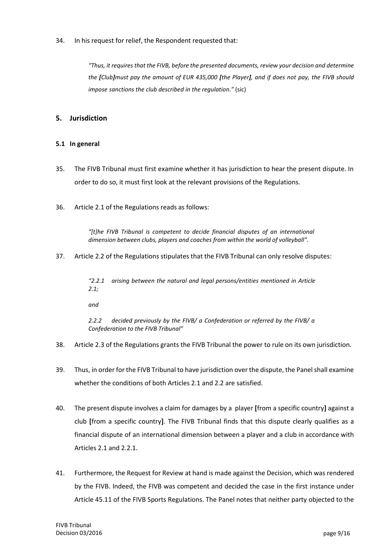34. In his request for relief, the Respondent requested that:

*"Thus, it requires that the FIVB, before the presented documents, review your decision and determine the [Club]must pay the amount of EUR 435,000 [the Player], and if does not pay, the FIVB should impose sanctions the club described in the regulation."* (sic)

# **5. Jurisdiction**

## **5.1 In general**

- 35. The FIVB Tribunal must first examine whether it has jurisdiction to hear the present dispute. In order to do so, it must first look at the relevant provisions of the Regulations.
- 36. Article 2.1 of the Regulations reads as follows:

*"[t]he FIVB Tribunal is competent to decide financial disputes of an international dimension between clubs, players and coaches from within the world of volleyball".*

37. Article 2.2 of the Regulations stipulates that the FIVB Tribunal can only resolve disputes:

*"2.2.1 arising between the natural and legal persons/entities mentioned in Article 2.1;*

*and*

*2.2.2 decided previously by the FIVB/ a Confederation or referred by the FIVB/ a Confederation to the FIVB Tribunal"*

- 38. Article 2.3 of the Regulations grants the FIVB Tribunal the power to rule on its own jurisdiction.
- 39. Thus, in order for the FIVB Tribunal to have jurisdiction over the dispute, the Panel shall examine whether the conditions of both Articles 2.1 and 2.2 are satisfied.
- 40. The present dispute involves a claim for damages by a player **[**from a specific country**]** against a club **[**from a specific country**]**. The FIVB Tribunal finds that this dispute clearly qualifies as a financial dispute of an international dimension between a player and a club in accordance with Articles 2.1 and 2.2.1.
- 41. Furthermore, the Request for Review at hand is made against the Decision, which was rendered by the FIVB. Indeed, the FIVB was competent and decided the case in the first instance under Article 45.11 of the FIVB Sports Regulations. The Panel notes that neither party objected to the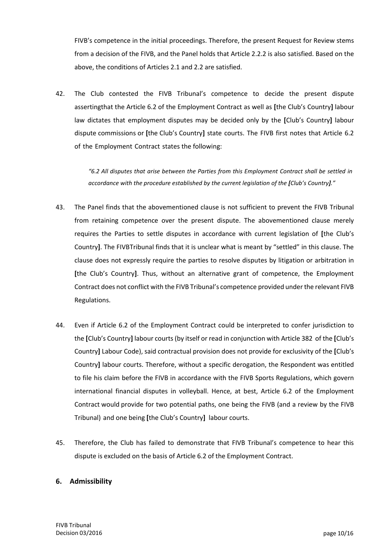FIVB's competence in the initial proceedings. Therefore, the present Request for Review stems from a decision of the FIVB, and the Panel holds that Article 2.2.2 is also satisfied. Based on the above, the conditions of Articles 2.1 and 2.2 are satisfied.

42. The Club contested the FIVB Tribunal's competence to decide the present dispute assertingthat the Article 6.2 of the Employment Contract as well as **[**the Club's Country**]** labour law dictates that employment disputes may be decided only by the **[**Club's Country**]** labour dispute commissions or **[**the Club's Country**]** state courts. The FIVB first notes that Article 6.2 of the Employment Contract states the following:

> *"6.2 All disputes that arise between the Parties from this Employment Contract shall be settled in accordance with the procedure established by the current legislation of the [Club's Country]."*

- 43. The Panel finds that the abovementioned clause is not sufficient to prevent the FIVB Tribunal from retaining competence over the present dispute. The abovementioned clause merely requires the Parties to settle disputes in accordance with current legislation of **[**the Club's Country**]**. The FIVBTribunal finds that it is unclear what is meant by "settled" in this clause. The clause does not expressly require the parties to resolve disputes by litigation or arbitration in **[**the Club's Country**]**. Thus, without an alternative grant of competence, the Employment Contract does not conflict with the FIVB Tribunal's competence provided underthe relevant FIVB Regulations.
- 44. Even if Article 6.2 of the Employment Contract could be interpreted to confer jurisdiction to the **[**Club's Country**]** labour courts (by itself or read in conjunction with Article 382 of the **[**Club's Country**]** Labour Code), said contractual provision does not provide for exclusivity of the **[**Club's Country**]** labour courts. Therefore, without a specific derogation, the Respondent was entitled to file his claim before the FIVB in accordance with the FIVB Sports Regulations, which govern international financial disputes in volleyball. Hence, at best, Article 6.2 of the Employment Contract would provide for two potential paths, one being the FIVB (and a review by the FIVB Tribunal) and one being **[**the Club's Country**]** labour courts.
- 45. Therefore, the Club has failed to demonstrate that FIVB Tribunal's competence to hear this dispute is excluded on the basis of Article 6.2 of the Employment Contract.

# **6. Admissibility**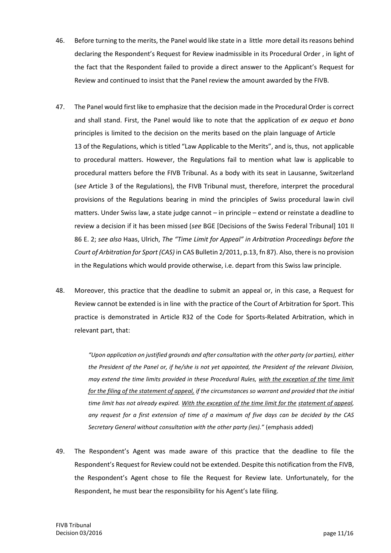- 46. Before turning to the merits, the Panel would like state in a little more detail its reasons behind declaring the Respondent's Request for Review inadmissible in its Procedural Order , in light of the fact that the Respondent failed to provide a direct answer to the Applicant's Request for Review and continued to insist that the Panel review the amount awarded by the FIVB.
- 47. The Panel would first like to emphasize that the decision made in the Procedural Order is correct and shall stand. First, the Panel would like to note that the application of *ex aequo et bono* principles is limited to the decision on the merits based on the plain language of Article 13 of the Regulations, which is titled "Law Applicable to the Merits", and is, thus, not applicable to procedural matters. However, the Regulations fail to mention what law is applicable to procedural matters before the FIVB Tribunal. As a body with its seat in Lausanne, Switzerland (*see* Article 3 of the Regulations), the FIVB Tribunal must, therefore, interpret the procedural provisions of the Regulations bearing in mind the principles of Swiss procedural lawin civil matters. Under Swiss law, a state judge cannot – in principle – extend or reinstate a deadline to review a decision if it has been missed (*see* BGE [Decisions of the Swiss Federal Tribunal] 101 II 86 E. 2; *see also* Haas, Ulrich, *The "Time Limit for Appeal" in Arbitration Proceedings before the Court of Arbitration for Sport (CAS)* in CAS Bulletin 2/2011, p.13, fn 87). Also, there is no provision in the Regulations which would provide otherwise, i.e. depart from this Swiss law principle.
- 48. Moreover, this practice that the deadline to submit an appeal or, in this case, a Request for Review cannot be extended is in line with the practice of the Court of Arbitration for Sport. This practice is demonstrated in Article R32 of the Code for Sports‐Related Arbitration, which in relevant part, that:

*"Upon application on justified grounds and after consultation with the other party (or parties), either the President of the Panel or, if he/she is not yet appointed, the President of the relevant Division, may extend the time limits provided in these Procedural Rules, with the exception of the time limit for the filing of the statement of appeal, if the circumstances so warrant and provided that the initial time limit has not already expired. With the exception of the time limit for the statement of appeal, any request for a first extension of time of a maximum of five days can be decided by the CAS Secretary General without consultation with the other party (ies)."* (emphasis added)

49. The Respondent's Agent was made aware of this practice that the deadline to file the Respondent's Request for Review could not be extended. Despite this notification from the FIVB, the Respondent's Agent chose to file the Request for Review late. Unfortunately, for the Respondent, he must bear the responsibility for his Agent's late filing.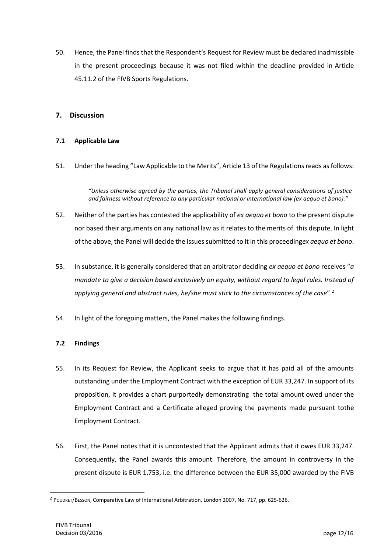50. Hence, the Panel finds that the Respondent's Request for Review must be declared inadmissible in the present proceedings because it was not filed within the deadline provided in Article 45.11.2 of the FIVB Sports Regulations.

## **7. Discussion**

#### **7.1 Applicable Law**

51. Under the heading "Law Applicable to the Merits", Article 13 of the Regulations reads as follows:

*"Unless otherwise agreed by the parties, the Tribunal shall apply general considerations of justice and fairness without reference to any particular national or international law (ex aequo et bono)."*

- 52. Neither of the parties has contested the applicability of *ex aequo et bono* to the present dispute nor based their arguments on any national law as it relates to the merits of this dispute. In light of the above, the Panel will decide the issues submitted to it in this proceeding*ex aequo et bono*.
- 53. In substance, it is generally considered that an arbitrator deciding *ex aequo et bono* receives "*a mandate to give a decision based exclusively on equity, without regard to legal rules. Instead of applying general and abstract rules, he/she must stick to the circumstances of the case*".<sup>2</sup>
- 54. In light of the foregoing matters, the Panel makes the following findings.

#### **7.2 Findings**

- 55. In its Request for Review, the Applicant seeks to argue that it has paid all of the amounts outstanding under the Employment Contract with the exception of EUR 33,247. In support of its proposition, it provides a chart purportedly demonstrating the total amount owed under the Employment Contract and a Certificate alleged proving the payments made pursuant tothe Employment Contract.
- 56. First, the Panel notes that it is uncontested that the Applicant admits that it owes EUR 33,247. Consequently, the Panel awards this amount. Therefore, the amount in controversy in the present dispute is EUR 1,753, i.e. the difference between the EUR 35,000 awarded by the FIVB

<sup>2</sup> POUDRET/BESSON, Comparative Law of International Arbitration, London 2007, No. 717, pp. 625‐626.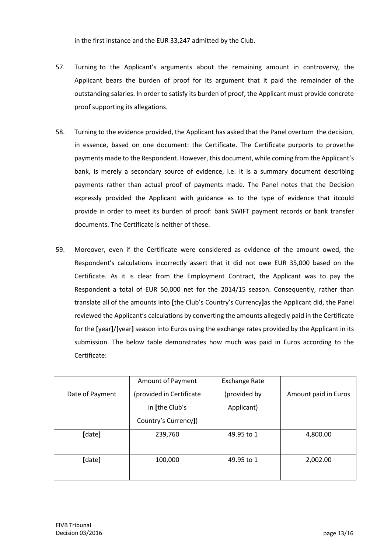in the first instance and the EUR 33,247 admitted by the Club.

- 57. Turning to the Applicant's arguments about the remaining amount in controversy, the Applicant bears the burden of proof for its argument that it paid the remainder of the outstanding salaries. In order to satisfy its burden of proof, the Applicant must provide concrete proof supporting its allegations.
- 58. Turning to the evidence provided, the Applicant has asked that the Panel overturn the decision, in essence, based on one document: the Certificate. The Certificate purports to prove the payments made to the Respondent. However, this document, while coming from the Applicant's bank, is merely a secondary source of evidence, i.e. it is a summary document describing payments rather than actual proof of payments made. The Panel notes that the Decision expressly provided the Applicant with guidance as to the type of evidence that itcould provide in order to meet its burden of proof: bank SWIFT payment records or bank transfer documents. The Certificate is neither of these.
- 59. Moreover, even if the Certificate were considered as evidence of the amount owed, the Respondent's calculations incorrectly assert that it did not owe EUR 35,000 based on the Certificate. As it is clear from the Employment Contract, the Applicant was to pay the Respondent a total of EUR 50,000 net for the 2014/15 season. Consequently, rather than translate all of the amounts into **[**the Club's Country's Currency**]**as the Applicant did, the Panel reviewed the Applicant's calculations by converting the amounts allegedly paid in the Certificate for the **[**year**]**/**[**year**]** season into Euros using the exchange rates provided by the Applicant in its submission. The below table demonstrates how much was paid in Euros according to the Certificate:

|                 | Amount of Payment        | <b>Exchange Rate</b> |                      |
|-----------------|--------------------------|----------------------|----------------------|
| Date of Payment | (provided in Certificate | (provided by         | Amount paid in Euros |
|                 | in [the Club's           | Applicant)           |                      |
|                 | Country's Currency])     |                      |                      |
| [date]          | 239,760                  | 49.95 to 1           | 4,800.00             |
|                 |                          |                      |                      |
| [date]          | 100,000                  | 49.95 to 1           | 2,002.00             |
|                 |                          |                      |                      |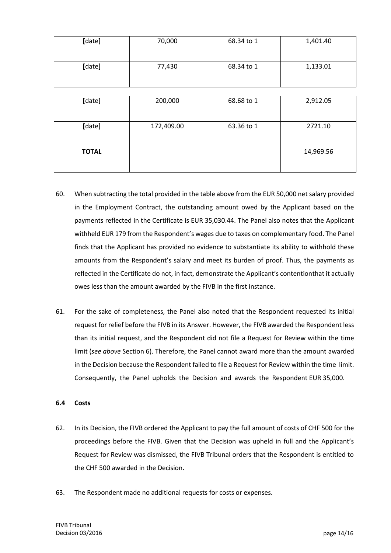| [date]       | 70,000     | 68.34 to 1 | 1,401.40  |
|--------------|------------|------------|-----------|
| [date]       | 77,430     | 68.34 to 1 | 1,133.01  |
|              |            |            |           |
| [date]       | 200,000    | 68.68 to 1 | 2,912.05  |
| [date]       | 172,409.00 | 63.36 to 1 | 2721.10   |
| <b>TOTAL</b> |            |            | 14,969.56 |

- 60. When subtracting the total provided in the table above from the EUR 50,000 net salary provided in the Employment Contract, the outstanding amount owed by the Applicant based on the payments reflected in the Certificate is EUR 35,030.44. The Panel also notes that the Applicant withheld EUR 179 from the Respondent's wages due to taxes on complementary food. The Panel finds that the Applicant has provided no evidence to substantiate its ability to withhold these amounts from the Respondent's salary and meet its burden of proof. Thus, the payments as reflected in the Certificate do not, in fact, demonstrate the Applicant's contentionthat it actually owes less than the amount awarded by the FIVB in the first instance.
- 61. For the sake of completeness, the Panel also noted that the Respondent requested its initial request for relief before the FIVB in its Answer. However, the FIVB awarded the Respondent less than its initial request, and the Respondent did not file a Request for Review within the time limit (*see above* Section 6). Therefore, the Panel cannot award more than the amount awarded in the Decision because the Respondent failed to file a Request for Review within the time limit. Consequently, the Panel upholds the Decision and awards the Respondent EUR 35,000.

#### **6.4 Costs**

- 62. In its Decision, the FIVB ordered the Applicant to pay the full amount of costs of CHF 500 for the proceedings before the FIVB. Given that the Decision was upheld in full and the Applicant's Request for Review was dismissed, the FIVB Tribunal orders that the Respondent is entitled to the CHF 500 awarded in the Decision.
- 63. The Respondent made no additional requests for costs or expenses.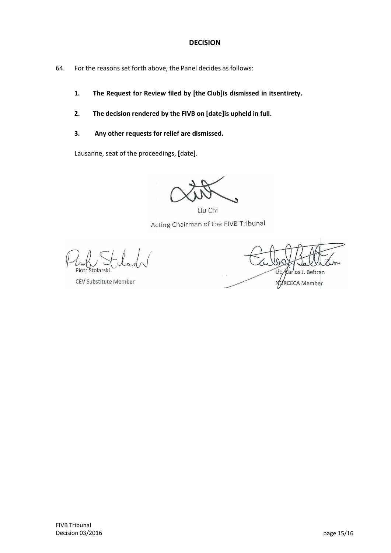# **DECISION**

- 64. For the reasons set forth above, the Panel decides as follows:
	- **1. The Request for Review filed by [the Club]is dismissed in itsentirety.**
	- **2. The decision rendered by the FIVB on [date]is upheld in full.**
	- **3. Any other requests for relief are dismissed.**

Lausanne, seat of the proceedings, **[**date**]**.

Liu Chi Acting Chairman of the FIVB Tribunal

Piotr Stolarsk

CEV Substitute Member

Lic arlos J. Beltran NORCECA Member